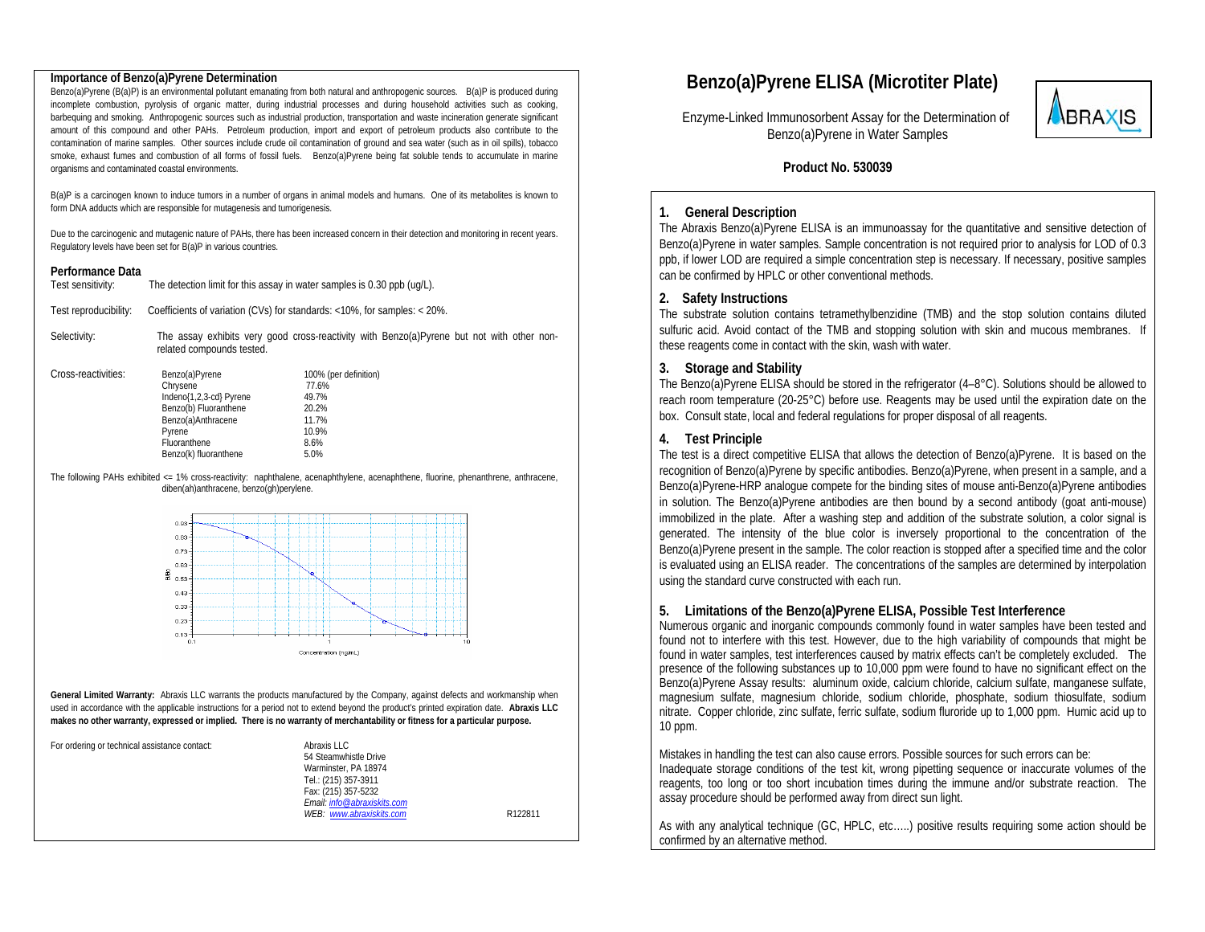#### **Importance of Benzo(a)Pyrene Determination**

Benzo(a)Pyrene (B(a)P) is an environmental pollutant emanating from both natural and anthropogenic sources. B(a)P is produced during incomplete combustion, pyrolysis of organic matter, during industrial processes and during household activities such as cooking, barbequing and smoking. Anthropogenic sources such as industrial production, transportation and waste incineration generate significant amount of this compound and other PAHs. Petroleum production, import and export of petroleum products also contribute to the contamination of marine samples. Other sources include crude oil contamination of ground and sea water (such as in oil spills), tobacco smoke, exhaust fumes and combustion of all forms of fossil fuels. Benzo(a)Pyrene being fat soluble tends to accumulate in marine organisms and contaminated coastal environments.

B(a)P is a carcinogen known to induce tumors in a number of organs in animal models and humans. One of its metabolites is known to form DNA adducts which are responsible for mutagenesis and tumorigenesis.

Due to the carcinogenic and mutagenic nature of PAHs, there has been increased concern in their detection and monitoring in recent years. Regulatory levels have been set for B(a)P in various countries.

#### **Performance Data**

| Test sensitivity:     | The detection limit for this assay in water samples is 0.30 ppb (uq/L). |
|-----------------------|-------------------------------------------------------------------------|
| Test reproducibility: | Coefficients of variation (CVs) for standards: <10%, for samples: <20%. |

Selectivity: The assay exhibits very good cross-reactivity with Benzo(a)Pyrene but not with other nonrelated compounds tested.

| Cross-reactivities: | Benzo(a)Pyrene<br>Chrysene                  | 100% (per definition)<br>77.6% |
|---------------------|---------------------------------------------|--------------------------------|
|                     | Indeno{1,2,3-cd} Pyrene                     | 49.7%                          |
|                     | Benzo(b) Fluoranthene<br>Benzo(a)Anthracene | 20.2%<br>11.7%                 |
|                     | Pyrene                                      | 10.9%                          |
|                     | Fluoranthene                                | 8.6%                           |
|                     | Benzo(k) fluoranthene                       | 5.0%                           |

The following PAHs exhibited <= 1% cross-reactivity: naphthalene, acenaphthylene, acenaphthene, fluorine, phenanthrene, anthracene, diben(ah)anthracene, benzo(gh)perylene.



**General Limited Warranty:** Abraxis LLC warrants the products manufactured by the Company, against defects and workmanship when used in accordance with the applicable instructions for a period not to extend beyond the product's printed expiration date. **Abraxis LLC makes no other warranty, expressed or implied. There is no warranty of merchantability or fitness for a particular purpose.** 

| For ordering or technical assistance contact:<br>Abraxis LLC<br>54 Steamwhistle Drive<br>Warminster, PA 18974<br>Tel.: (215) 357-3911<br>Fax: (215) 357-5232<br>Email: info@abraxiskits.com<br>WEB: www.abraxiskits.com<br>R122811 |  |
|------------------------------------------------------------------------------------------------------------------------------------------------------------------------------------------------------------------------------------|--|
|------------------------------------------------------------------------------------------------------------------------------------------------------------------------------------------------------------------------------------|--|

# **Benzo(a)Pyrene ELISA (Microtiter Plate)**

 Enzyme-Linked Immunosorbent Assay for the Determination of Benzo(a)Pyrene in Water Samples



#### **Product No. 530039**

#### **1. General Description**

The Abraxis Benzo(a)Pyrene ELISA is an immunoassay for the quantitative and sensitive detection of Benzo(a)Pyrene in water samples. Sample concentration is not required prior to analysis for LOD of 0.3 ppb, if lower LOD are required a simple concentration step is necessary. If necessary, positive samples can be confirmed by HPLC or other conventional methods.

#### **2. Safety Instructions**

The substrate solution contains tetramethylbenzidine (TMB) and the stop solution contains diluted sulfuric acid. Avoid contact of the TMB and stopping solution with skin and mucous membranes. If these reagents come in contact with the skin, wash with water.

#### **3. Storage and Stability**

The Benzo(a)Pyrene ELISA should be stored in the refrigerator (4–8°C). Solutions should be allowed to reach room temperature (20-25°C) before use. Reagents may be used until the expiration date on the box. Consult state, local and federal regulations for proper disposal of all reagents.

#### **4. Test Principle**

The test is a direct competitive ELISA that allows the detection of Benzo(a)Pyrene. It is based on the recognition of Benzo(a)Pyrene by specific antibodies. Benzo(a)Pyrene, when present in a sample, and a Benzo(a)Pyrene-HRP analogue compete for the binding sites of mouse anti-Benzo(a)Pyrene antibodies in solution. The Benzo(a)Pyrene antibodies are then bound by a second antibody (goat anti-mouse) immobilized in the plate. After a washing step and addition of the substrate solution, a color signal is generated. The intensity of the blue color is inversely proportional to the concentration of the Benzo(a)Pyrene present in the sample. The color reaction is stopped after a specified time and the color is evaluated using an ELISA reader. The concentrations of the samples are determined by interpolation using the standard curve constructed with each run.

### **5. Limitations of the Benzo(a)Pyrene ELISA, Possible Test Interference**

Numerous organic and inorganic compounds commonly found in water samples have been tested and found not to interfere with this test. However, due to the high variability of compounds that might be found in water samples, test interferences caused by matrix effects can't be completely excluded. The presence of the following substances up to 10,000 ppm were found to have no significant effect on the Benzo(a)Pyrene Assay results: aluminum oxide, calcium chloride, calcium sulfate, manganese sulfate, magnesium sulfate, magnesium chloride, sodium chloride, phosphate, sodium thiosulfate, sodium nitrate. Copper chloride, zinc sulfate, ferric sulfate, sodium fluroride up to 1,000 ppm. Humic acid up to 10 ppm.

Mistakes in handling the test can also cause errors. Possible sources for such errors can be: Inadequate storage conditions of the test kit, wrong pipetting sequence or inaccurate volumes of the reagents, too long or too short incubation times during the immune and/or substrate reaction. The assay procedure should be performed away from direct sun light.

As with any analytical technique (GC, HPLC, etc…..) positive results requiring some action should be confirmed by an alternative method.